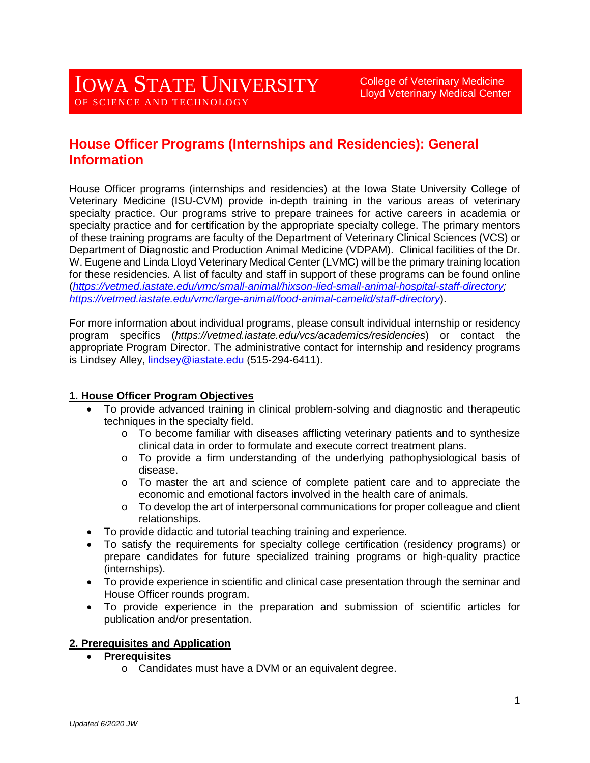# **House Officer Programs (Internships and Residencies): General Information**

House Officer programs (internships and residencies) at the Iowa State University College of Veterinary Medicine (ISU-CVM) provide in-depth training in the various areas of veterinary specialty practice. Our programs strive to prepare trainees for active careers in academia or specialty practice and for certification by the appropriate specialty college. The primary mentors of these training programs are faculty of the Department of Veterinary Clinical Sciences (VCS) or Department of Diagnostic and Production Animal Medicine (VDPAM). Clinical facilities of the Dr. W. Eugene and Linda Lloyd Veterinary Medical Center (LVMC) will be the primary training location for these residencies. A list of faculty and staff in support of these programs can be found online (*[https://vetmed.iastate.edu/vmc/small-animal/hixson-lied-small-animal-hospital-staff-directory;](https://vetmed.iastate.edu/vmc/small-animal/hixson-lied-small-animal-hospital-staff-directory) <https://vetmed.iastate.edu/vmc/large-animal/food-animal-camelid/staff-directory>*).

For more information about individual programs, please consult individual internship or residency program specifics (*https://vetmed.iastate.edu/vcs/academics/residencies*) or contact the appropriate Program Director. The administrative contact for internship and residency programs is Lindsey Alley, *lindsey@iastate.edu* (515-294-6411).

# **1. House Officer Program Objectives**

- To provide advanced training in clinical problem-solving and diagnostic and therapeutic techniques in the specialty field.
	- o To become familiar with diseases afflicting veterinary patients and to synthesize clinical data in order to formulate and execute correct treatment plans.
	- $\circ$  To provide a firm understanding of the underlying pathophysiological basis of disease.
	- o To master the art and science of complete patient care and to appreciate the economic and emotional factors involved in the health care of animals.
	- $\circ$  To develop the art of interpersonal communications for proper colleague and client relationships.
- To provide didactic and tutorial teaching training and experience.
- To satisfy the requirements for specialty college certification (residency programs) or prepare candidates for future specialized training programs or high-quality practice (internships).
- To provide experience in scientific and clinical case presentation through the seminar and House Officer rounds program.
- To provide experience in the preparation and submission of scientific articles for publication and/or presentation.

#### **2. Prerequisites and Application**

#### • **Prerequisites**

o Candidates must have a DVM or an equivalent degree.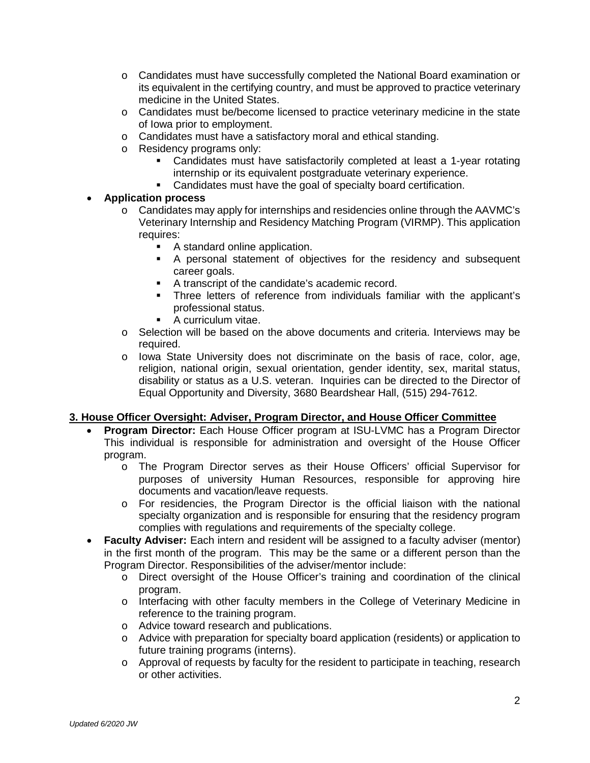- o Candidates must have successfully completed the National Board examination or its equivalent in the certifying country, and must be approved to practice veterinary medicine in the United States.
- o Candidates must be/become licensed to practice veterinary medicine in the state of Iowa prior to employment.
- o Candidates must have a satisfactory moral and ethical standing.
- o Residency programs only:
	- Candidates must have satisfactorily completed at least a 1-year rotating internship or its equivalent postgraduate veterinary experience.
	- Candidates must have the goal of specialty board certification.

# • **Application process**

- o Candidates may apply for internships and residencies online through the AAVMC's Veterinary Internship and Residency Matching Program (VIRMP). This application requires:
	- A standard online application.
	- A personal statement of objectives for the residency and subsequent career goals.
	- A transcript of the candidate's academic record.
	- Three letters of reference from individuals familiar with the applicant's professional status.
	- **A curriculum vitae.**
- $\circ$  Selection will be based on the above documents and criteria. Interviews may be required.
- o Iowa State University does not discriminate on the basis of race, color, age, religion, national origin, sexual orientation, gender identity, sex, marital status, disability or status as a U.S. veteran. Inquiries can be directed to the Director of Equal Opportunity and Diversity, 3680 Beardshear Hall, (515) 294-7612.

# **3. House Officer Oversight: Adviser, Program Director, and House Officer Committee**

- **Program Director:** Each House Officer program at ISU-LVMC has a Program Director This individual is responsible for administration and oversight of the House Officer program.
	- o The Program Director serves as their House Officers' official Supervisor for purposes of university Human Resources, responsible for approving hire documents and vacation/leave requests.
	- o For residencies, the Program Director is the official liaison with the national specialty organization and is responsible for ensuring that the residency program complies with regulations and requirements of the specialty college.
- **Faculty Adviser:** Each intern and resident will be assigned to a faculty adviser (mentor) in the first month of the program. This may be the same or a different person than the Program Director. Responsibilities of the adviser/mentor include:
	- o Direct oversight of the House Officer's training and coordination of the clinical program.
	- o Interfacing with other faculty members in the College of Veterinary Medicine in reference to the training program.
	- o Advice toward research and publications.
	- o Advice with preparation for specialty board application (residents) or application to future training programs (interns).
	- o Approval of requests by faculty for the resident to participate in teaching, research or other activities.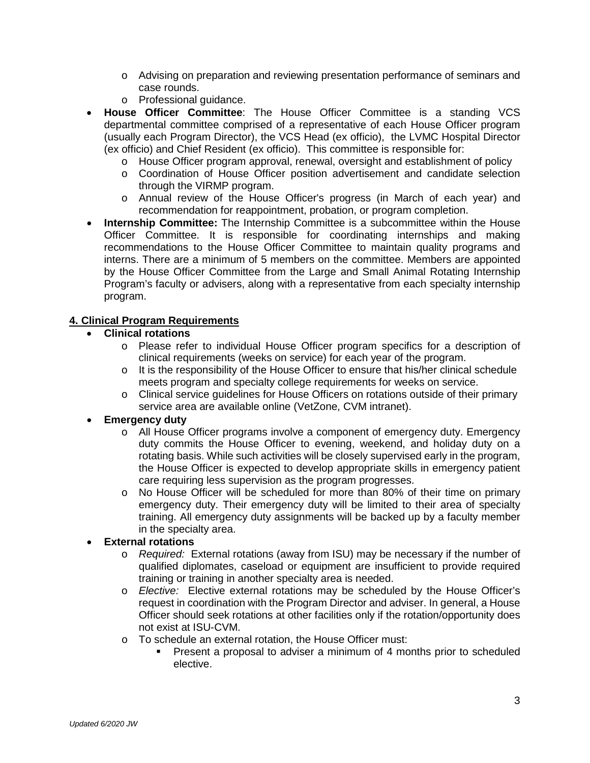- o Advising on preparation and reviewing presentation performance of seminars and case rounds.
- o Professional guidance.
- **House Officer Committee**: The House Officer Committee is a standing VCS departmental committee comprised of a representative of each House Officer program (usually each Program Director), the VCS Head (ex officio), the LVMC Hospital Director (ex officio) and Chief Resident (ex officio). This committee is responsible for:
	- o House Officer program approval, renewal, oversight and establishment of policy
	- o Coordination of House Officer position advertisement and candidate selection through the VIRMP program.
	- o Annual review of the House Officer's progress (in March of each year) and recommendation for reappointment, probation, or program completion.
- **Internship Committee:** The Internship Committee is a subcommittee within the House Officer Committee. It is responsible for coordinating internships and making recommendations to the House Officer Committee to maintain quality programs and interns. There are a minimum of 5 members on the committee. Members are appointed by the House Officer Committee from the Large and Small Animal Rotating Internship Program's faculty or advisers, along with a representative from each specialty internship program.

# **4. Clinical Program Requirements**

- **Clinical rotations**
	- o Please refer to individual House Officer program specifics for a description of clinical requirements (weeks on service) for each year of the program.
	- o It is the responsibility of the House Officer to ensure that his/her clinical schedule meets program and specialty college requirements for weeks on service.
	- o Clinical service guidelines for House Officers on rotations outside of their primary service area are available online (VetZone, CVM intranet).

#### • **Emergency duty**

- o All House Officer programs involve a component of emergency duty. Emergency duty commits the House Officer to evening, weekend, and holiday duty on a rotating basis. While such activities will be closely supervised early in the program, the House Officer is expected to develop appropriate skills in emergency patient care requiring less supervision as the program progresses.
- o No House Officer will be scheduled for more than 80% of their time on primary emergency duty. Their emergency duty will be limited to their area of specialty training. All emergency duty assignments will be backed up by a faculty member in the specialty area.

#### • **External rotations**

- o *Required:* External rotations (away from ISU) may be necessary if the number of qualified diplomates, caseload or equipment are insufficient to provide required training or training in another specialty area is needed.
- o *Elective:*Elective external rotations may be scheduled by the House Officer's request in coordination with the Program Director and adviser. In general, a House Officer should seek rotations at other facilities only if the rotation/opportunity does not exist at ISU-CVM.
- o To schedule an external rotation, the House Officer must:
	- **Present a proposal to adviser a minimum of 4 months prior to scheduled** elective.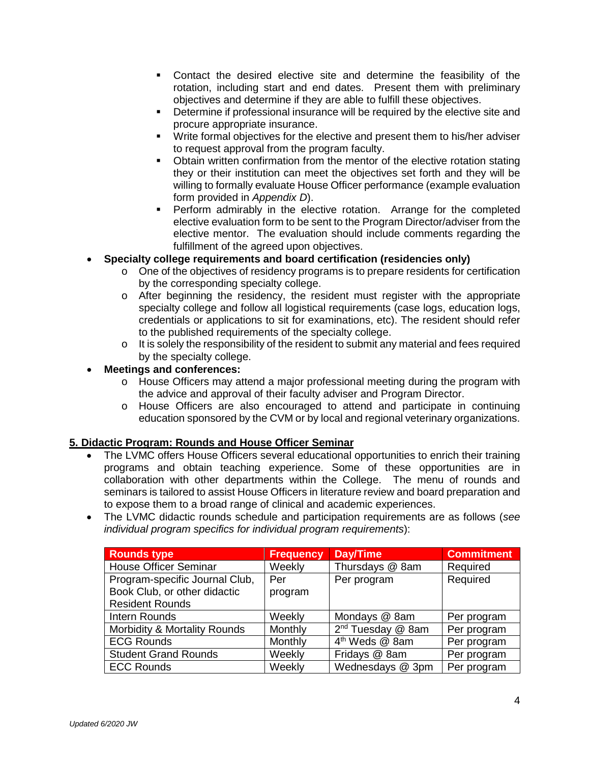- Contact the desired elective site and determine the feasibility of the rotation, including start and end dates. Present them with preliminary objectives and determine if they are able to fulfill these objectives.
- **Determine if professional insurance will be required by the elective site and** procure appropriate insurance.
- Write formal objectives for the elective and present them to his/her adviser to request approval from the program faculty.
- Obtain written confirmation from the mentor of the elective rotation stating they or their institution can meet the objectives set forth and they will be willing to formally evaluate House Officer performance (example evaluation form provided in *Appendix D*).
- **Perform admirably in the elective rotation.** Arrange for the completed elective evaluation form to be sent to the Program Director/adviser from the elective mentor. The evaluation should include comments regarding the fulfillment of the agreed upon objectives.
- **Specialty college requirements and board certification (residencies only)**
	- o One of the objectives of residency programs is to prepare residents for certification by the corresponding specialty college.
	- $\circ$  After beginning the residency, the resident must register with the appropriate specialty college and follow all logistical requirements (case logs, education logs, credentials or applications to sit for examinations, etc). The resident should refer to the published requirements of the specialty college.
	- o It is solely the responsibility of the resident to submit any material and fees required by the specialty college.

# • **Meetings and conferences:**

- o House Officers may attend a major professional meeting during the program with the advice and approval of their faculty adviser and Program Director.
- o House Officers are also encouraged to attend and participate in continuing education sponsored by the CVM or by local and regional veterinary organizations.

# **5. Didactic Program: Rounds and House Officer Seminar**

- The LVMC offers House Officers several educational opportunities to enrich their training programs and obtain teaching experience. Some of these opportunities are in collaboration with other departments within the College. The menu of rounds and seminars is tailored to assist House Officers in literature review and board preparation and to expose them to a broad range of clinical and academic experiences.
- The LVMC didactic rounds schedule and participation requirements are as follows (*see individual program specifics for individual program requirements*):

| <b>Rounds type</b>             | <b>Frequency</b> | <b>Day/Time</b>               | <b>Commitment</b> |
|--------------------------------|------------------|-------------------------------|-------------------|
| <b>House Officer Seminar</b>   | Weekly           | Thursdays @ 8am               | Required          |
| Program-specific Journal Club, | Per              | Per program                   | Required          |
| Book Club, or other didactic   | program          |                               |                   |
| <b>Resident Rounds</b>         |                  |                               |                   |
| Intern Rounds                  | Weekly           | Mondays @ 8am                 | Per program       |
| Morbidity & Mortality Rounds   | Monthly          | 2 <sup>nd</sup> Tuesday @ 8am | Per program       |
| <b>ECG Rounds</b>              | Monthly          | 4 <sup>th</sup> Weds @ 8am    | Per program       |
| <b>Student Grand Rounds</b>    | Weekly           | Fridays @ 8am                 | Per program       |
| <b>ECC Rounds</b>              | Weekly           | Wednesdays @ 3pm              | Per program       |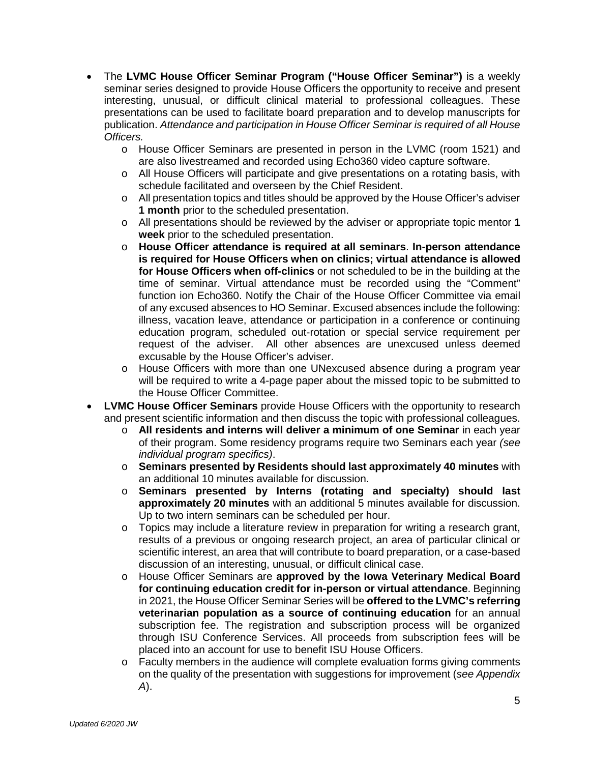- The **LVMC House Officer Seminar Program ("House Officer Seminar")** is a weekly seminar series designed to provide House Officers the opportunity to receive and present interesting, unusual, or difficult clinical material to professional colleagues. These presentations can be used to facilitate board preparation and to develop manuscripts for publication. *Attendance and participation in House Officer Seminar is required of all House Officers.*
	- o House Officer Seminars are presented in person in the LVMC (room 1521) and are also livestreamed and recorded using Echo360 video capture software.
	- o All House Officers will participate and give presentations on a rotating basis, with schedule facilitated and overseen by the Chief Resident.
	- $\circ$  All presentation topics and titles should be approved by the House Officer's adviser **1 month** prior to the scheduled presentation.
	- o All presentations should be reviewed by the adviser or appropriate topic mentor **1 week** prior to the scheduled presentation.
	- o **House Officer attendance is required at all seminars**. **In-person attendance is required for House Officers when on clinics; virtual attendance is allowed for House Officers when off-clinics** or not scheduled to be in the building at the time of seminar. Virtual attendance must be recorded using the "Comment" function ion Echo360. Notify the Chair of the House Officer Committee via email of any excused absences to HO Seminar. Excused absences include the following: illness, vacation leave, attendance or participation in a conference or continuing education program, scheduled out-rotation or special service requirement per request of the adviser. All other absences are unexcused unless deemed excusable by the House Officer's adviser.
	- o House Officers with more than one UNexcused absence during a program year will be required to write a 4-page paper about the missed topic to be submitted to the House Officer Committee.
- **LVMC House Officer Seminars** provide House Officers with the opportunity to research and present scientific information and then discuss the topic with professional colleagues.
	- o **All residents and interns will deliver a minimum of one Seminar** in each year of their program. Some residency programs require two Seminars each year *(see individual program specifics)*.
	- o **Seminars presented by Residents should last approximately 40 minutes** with an additional 10 minutes available for discussion.
	- o **Seminars presented by Interns (rotating and specialty) should last approximately 20 minutes** with an additional 5 minutes available for discussion. Up to two intern seminars can be scheduled per hour.
	- o Topics may include a literature review in preparation for writing a research grant, results of a previous or ongoing research project, an area of particular clinical or scientific interest, an area that will contribute to board preparation, or a case-based discussion of an interesting, unusual, or difficult clinical case.
	- o House Officer Seminars are **approved by the Iowa Veterinary Medical Board for continuing education credit for in-person or virtual attendance**. Beginning in 2021, the House Officer Seminar Series will be **offered to the LVMC's referring veterinarian population as a source of continuing education** for an annual subscription fee. The registration and subscription process will be organized through ISU Conference Services. All proceeds from subscription fees will be placed into an account for use to benefit ISU House Officers.
	- $\circ$  Faculty members in the audience will complete evaluation forms giving comments on the quality of the presentation with suggestions for improvement (*see Appendix A*).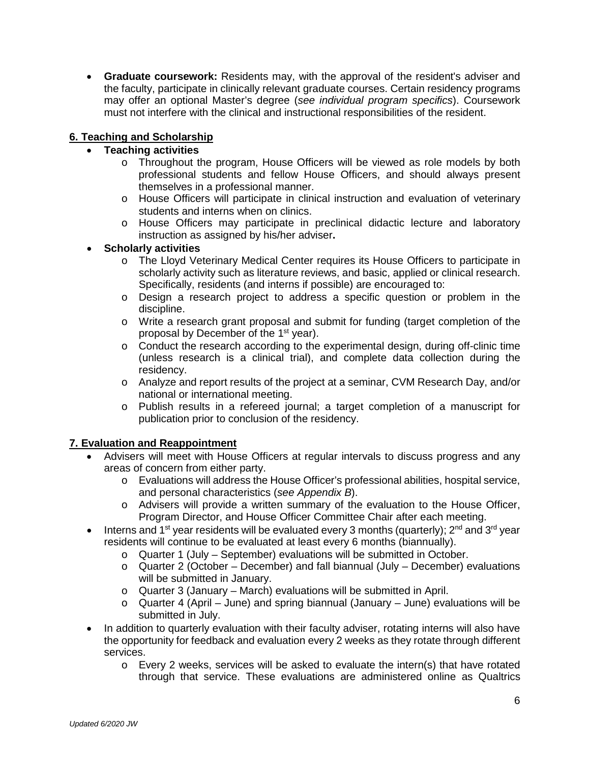• **Graduate coursework:** Residents may, with the approval of the resident's adviser and the faculty, participate in clinically relevant graduate courses. Certain residency programs may offer an optional Master's degree (*see individual program specifics*). Coursework must not interfere with the clinical and instructional responsibilities of the resident.

# **6. Teaching and Scholarship**

# • **Teaching activities**

- o Throughout the program, House Officers will be viewed as role models by both professional students and fellow House Officers, and should always present themselves in a professional manner.
- o House Officers will participate in clinical instruction and evaluation of veterinary students and interns when on clinics.
- o House Officers may participate in preclinical didactic lecture and laboratory instruction as assigned by his/her adviser**.**
- **Scholarly activities**
	- o The Lloyd Veterinary Medical Center requires its House Officers to participate in scholarly activity such as literature reviews, and basic, applied or clinical research. Specifically, residents (and interns if possible) are encouraged to:
	- o Design a research project to address a specific question or problem in the discipline.
	- o Write a research grant proposal and submit for funding (target completion of the proposal by December of the 1<sup>st</sup> year).
	- $\circ$  Conduct the research according to the experimental design, during off-clinic time (unless research is a clinical trial), and complete data collection during the residency.
	- o Analyze and report results of the project at a seminar, CVM Research Day, and/or national or international meeting.
	- o Publish results in a refereed journal; a target completion of a manuscript for publication prior to conclusion of the residency.

# **7. Evaluation and Reappointment**

- Advisers will meet with House Officers at regular intervals to discuss progress and any areas of concern from either party.
	- o Evaluations will address the House Officer's professional abilities, hospital service, and personal characteristics (*see Appendix B*).
	- o Advisers will provide a written summary of the evaluation to the House Officer, Program Director, and House Officer Committee Chair after each meeting.
- Interns and 1<sup>st</sup> year residents will be evaluated every 3 months (quarterly);  $2^{nd}$  and  $3^{rd}$  year residents will continue to be evaluated at least every 6 months (biannually).
	- o Quarter 1 (July September) evaluations will be submitted in October.
	- $\circ$  Quarter 2 (October December) and fall biannual (July December) evaluations will be submitted in January.
	- o Quarter 3 (January March) evaluations will be submitted in April.
	- $\circ$  Quarter 4 (April June) and spring biannual (January June) evaluations will be submitted in July.
- In addition to quarterly evaluation with their faculty adviser, rotating interns will also have the opportunity for feedback and evaluation every 2 weeks as they rotate through different services.
	- $\circ$  Every 2 weeks, services will be asked to evaluate the intern(s) that have rotated through that service. These evaluations are administered online as Qualtrics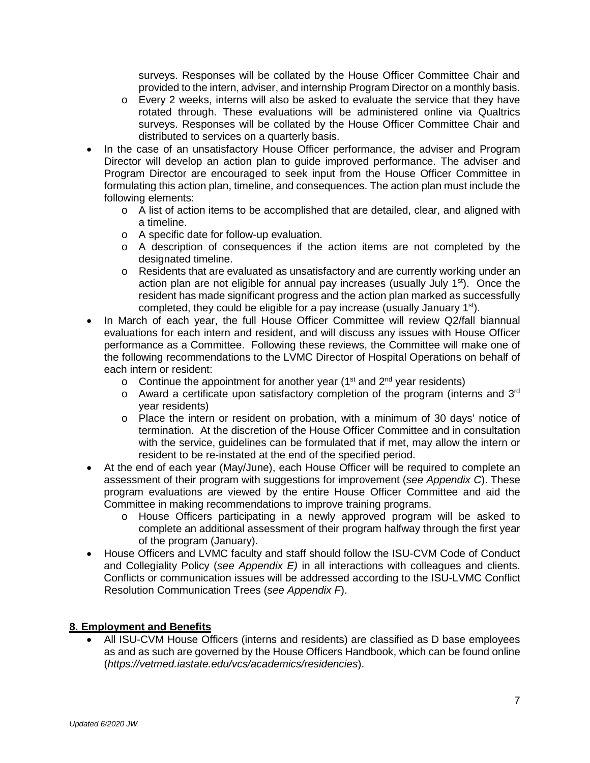surveys. Responses will be collated by the House Officer Committee Chair and provided to the intern, adviser, and internship Program Director on a monthly basis.

- o Every 2 weeks, interns will also be asked to evaluate the service that they have rotated through. These evaluations will be administered online via Qualtrics surveys. Responses will be collated by the House Officer Committee Chair and distributed to services on a quarterly basis.
- In the case of an unsatisfactory House Officer performance, the adviser and Program Director will develop an action plan to guide improved performance. The adviser and Program Director are encouraged to seek input from the House Officer Committee in formulating this action plan, timeline, and consequences. The action plan must include the following elements:
	- $\circ$  A list of action items to be accomplished that are detailed, clear, and aligned with a timeline.
	- o A specific date for follow-up evaluation.
	- $\circ$  A description of consequences if the action items are not completed by the designated timeline.
	- o Residents that are evaluated as unsatisfactory and are currently working under an action plan are not eligible for annual pay increases (usually July  $1<sup>st</sup>$ ). Once the resident has made significant progress and the action plan marked as successfully completed, they could be eligible for a pay increase (usually January 1<sup>st</sup>).
- In March of each year, the full House Officer Committee will review Q2/fall biannual evaluations for each intern and resident, and will discuss any issues with House Officer performance as a Committee. Following these reviews, the Committee will make one of the following recommendations to the LVMC Director of Hospital Operations on behalf of each intern or resident:
	- $\circ$  Continue the appointment for another year (1<sup>st</sup> and 2<sup>nd</sup> year residents)
	- o Award a certificate upon satisfactory completion of the program (interns and 3rd year residents)
	- o Place the intern or resident on probation, with a minimum of 30 days' notice of termination. At the discretion of the House Officer Committee and in consultation with the service, guidelines can be formulated that if met, may allow the intern or resident to be re-instated at the end of the specified period.
- At the end of each year (May/June), each House Officer will be required to complete an assessment of their program with suggestions for improvement (*see Appendix C*). These program evaluations are viewed by the entire House Officer Committee and aid the Committee in making recommendations to improve training programs.
	- o House Officers participating in a newly approved program will be asked to complete an additional assessment of their program halfway through the first year of the program (January).
- House Officers and LVMC faculty and staff should follow the ISU-CVM Code of Conduct and Collegiality Policy (*see Appendix E)* in all interactions with colleagues and clients. Conflicts or communication issues will be addressed according to the ISU-LVMC Conflict Resolution Communication Trees (*see Appendix F*).

# **8. Employment and Benefits**

• All ISU-CVM House Officers (interns and residents) are classified as [D](http://d/) base employees as and as such are governed by the House Officers Handbook, which can be found online (*https://vetmed.iastate.edu/vcs/academics/residencies*).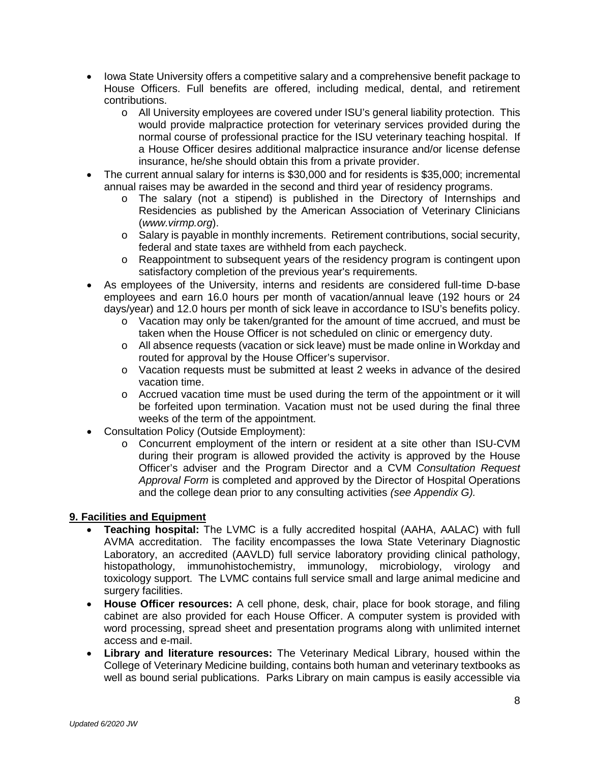- Iowa State University offers a competitive salary and a comprehensive benefit package to House Officers. Full benefits are offered, including medical, dental, and retirement contributions.
	- o All University employees are covered under ISU's general liability protection. This would provide malpractice protection for veterinary services provided during the normal course of professional practice for the ISU veterinary teaching hospital. If a House Officer desires additional malpractice insurance and/or license defense insurance, he/she should obtain this from a private provider.
- The current annual salary for interns is \$30,000 and for residents is \$35,000; incremental annual raises may be awarded in the second and third year of residency programs.
	- o The salary (not a stipend) is published in the Directory of Internships and Residencies as published by the American Association of Veterinary Clinicians (*www.virmp.org*).
	- o Salary is payable in monthly increments. Retirement contributions, social security, federal and state taxes are withheld from each paycheck.
	- o Reappointment to subsequent years of the residency program is contingent upon satisfactory completion of the previous year's requirements.
- As employees of the University, interns and residents are considered full-time D-base employees and earn 16.0 hours per month of vacation/annual leave (192 hours or 24 days/year) and 12.0 hours per month of sick leave in accordance to ISU's benefits policy.
	- $\circ$  Vacation may only be taken/granted for the amount of time accrued, and must be taken when the House Officer is not scheduled on clinic or emergency duty.
	- o All absence requests (vacation or sick leave) must be made online in Workday and routed for approval by the House Officer's supervisor.
	- o Vacation requests must be submitted at least 2 weeks in advance of the desired vacation time.
	- $\circ$  Accrued vacation time must be used during the term of the appointment or it will be forfeited upon termination. Vacation must not be used during the final three weeks of the term of the appointment.
- Consultation Policy (Outside Employment):
	- o Concurrent employment of the intern or resident at a site other than ISU-CVM during their program is allowed provided the activity is approved by the House Officer's adviser and the Program Director and a CVM *Consultation Request Approval Form* is completed and approved by the Director of Hospital Operations and the college dean prior to any consulting activities *(see Appendix G).*

# **9. Facilities and Equipment**

- **Teaching hospital:** The LVMC is a fully accredited hospital (AAHA, AALAC) with full AVMA accreditation. The facility encompasses the Iowa State Veterinary Diagnostic Laboratory, an accredited (AAVLD) full service laboratory providing clinical pathology, histopathology, immunohistochemistry, immunology, microbiology, virology and toxicology support. The LVMC contains full service small and large animal medicine and surgery facilities.
- **House Officer resources:** A cell phone, desk, chair, place for book storage, and filing cabinet are also provided for each House Officer. A computer system is provided with word processing, spread sheet and presentation programs along with unlimited internet access and e-mail.
- **Library and literature resources:** The Veterinary Medical Library, housed within the College of Veterinary Medicine building, contains both human and veterinary textbooks as well as bound serial publications. Parks Library on main campus is easily accessible via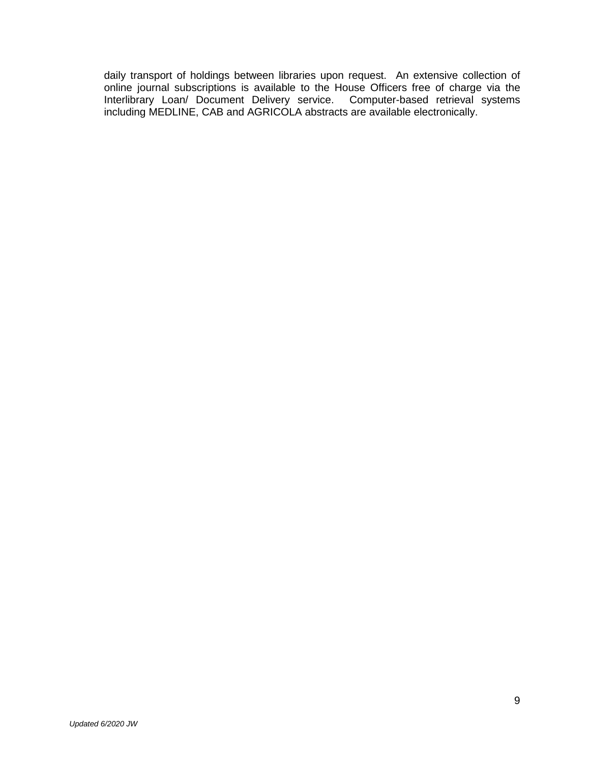daily transport of holdings between libraries upon request. An extensive collection of online journal subscriptions is available to the House Officers free of charge via the Interlibrary Loan/ Document Delivery service. Computer-based retrieval systems including MEDLINE, CAB and AGRICOLA abstracts are available electronically.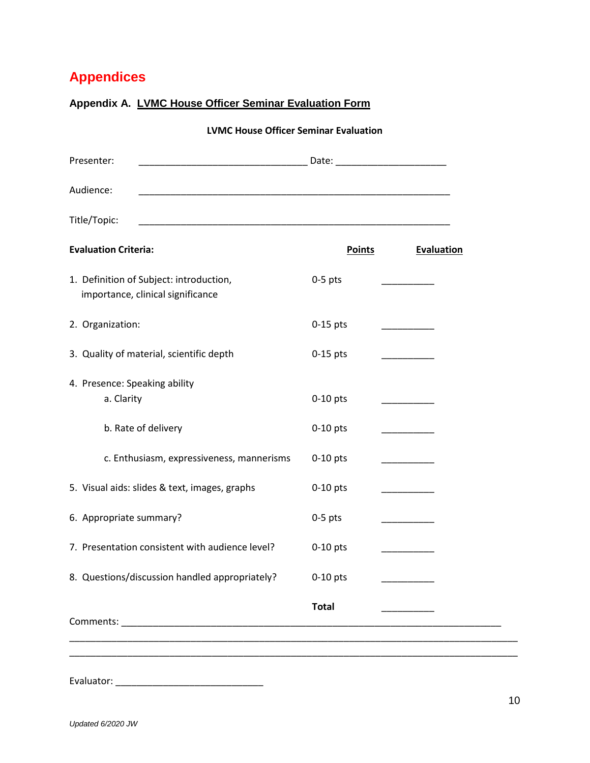# **Appendices**

| <b>LVMC House Officer Seminar Evaluation</b>                                 |               |                                    |  |  |  |  |
|------------------------------------------------------------------------------|---------------|------------------------------------|--|--|--|--|
| Presenter:                                                                   |               |                                    |  |  |  |  |
| Audience:                                                                    |               |                                    |  |  |  |  |
| Title/Topic:                                                                 |               |                                    |  |  |  |  |
| <b>Evaluation Criteria:</b>                                                  | <b>Points</b> | <b>Evaluation</b>                  |  |  |  |  |
| 1. Definition of Subject: introduction,<br>importance, clinical significance | $0-5$ pts     |                                    |  |  |  |  |
| 2. Organization:                                                             | $0-15$ pts    | $\sim$ $\sim$ $\sim$ $\sim$ $\sim$ |  |  |  |  |
| 3. Quality of material, scientific depth                                     | $0-15$ pts    | _________                          |  |  |  |  |
| 4. Presence: Speaking ability<br>a. Clarity                                  | $0-10$ pts    |                                    |  |  |  |  |
| b. Rate of delivery                                                          | $0-10$ pts    | <u> London a la compa</u>          |  |  |  |  |
| c. Enthusiasm, expressiveness, mannerisms                                    | $0-10$ pts    | ________                           |  |  |  |  |
| 5. Visual aids: slides & text, images, graphs                                | $0-10$ pts    |                                    |  |  |  |  |
| 6. Appropriate summary?                                                      | $0-5$ pts     |                                    |  |  |  |  |
| 7. Presentation consistent with audience level?                              | $0-10$ pts    |                                    |  |  |  |  |
| 8. Questions/discussion handled appropriately?                               | $0-10$ pts    |                                    |  |  |  |  |
|                                                                              | <b>Total</b>  |                                    |  |  |  |  |
|                                                                              |               |                                    |  |  |  |  |

# **Appendix A. LVMC House Officer Seminar Evaluation Form**

Evaluator: \_\_\_\_\_\_\_\_\_\_\_\_\_\_\_\_\_\_\_\_\_\_\_\_\_\_\_\_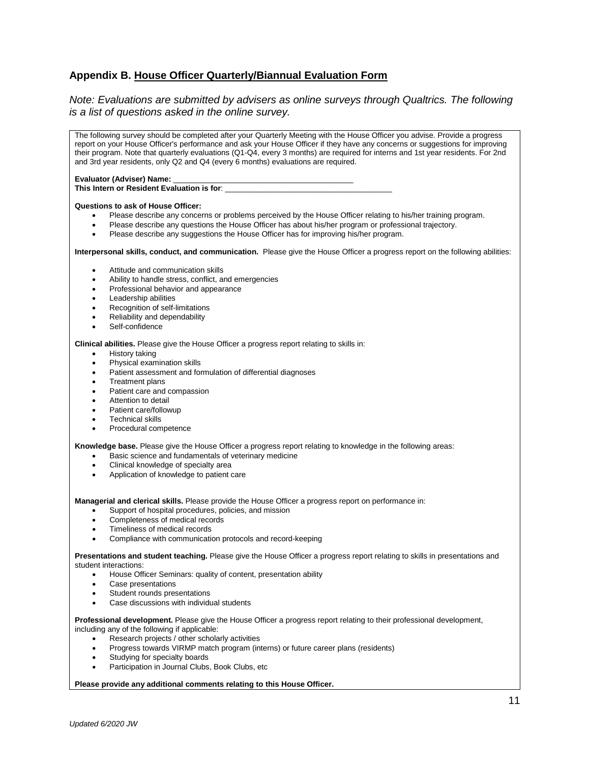# **Appendix B. House Officer Quarterly/Biannual Evaluation Form**

#### *Note: Evaluations are submitted by advisers as online surveys through Qualtrics. The following is a list of questions asked in the online survey.*

| The following survey should be completed after your Quarterly Meeting with the House Officer you advise. Provide a progress<br>report on your House Officer's performance and ask your House Officer if they have any concerns or suggestions for improving<br>their program. Note that quarterly evaluations (Q1-Q4, every 3 months) are required for interns and 1st year residents. For 2nd<br>and 3rd year residents, only Q2 and Q4 (every 6 months) evaluations are required. |  |  |  |  |  |
|-------------------------------------------------------------------------------------------------------------------------------------------------------------------------------------------------------------------------------------------------------------------------------------------------------------------------------------------------------------------------------------------------------------------------------------------------------------------------------------|--|--|--|--|--|
|                                                                                                                                                                                                                                                                                                                                                                                                                                                                                     |  |  |  |  |  |
| <b>Questions to ask of House Officer:</b>                                                                                                                                                                                                                                                                                                                                                                                                                                           |  |  |  |  |  |
| Please describe any concerns or problems perceived by the House Officer relating to his/her training program.<br>٠<br>Please describe any questions the House Officer has about his/her program or professional trajectory.<br>٠<br>Please describe any suggestions the House Officer has for improving his/her program.<br>$\bullet$                                                                                                                                               |  |  |  |  |  |
| Interpersonal skills, conduct, and communication. Please give the House Officer a progress report on the following abilities:                                                                                                                                                                                                                                                                                                                                                       |  |  |  |  |  |
| Attitude and communication skills<br>٠                                                                                                                                                                                                                                                                                                                                                                                                                                              |  |  |  |  |  |
| Ability to handle stress, conflict, and emergencies<br>٠                                                                                                                                                                                                                                                                                                                                                                                                                            |  |  |  |  |  |
| Professional behavior and appearance<br>٠                                                                                                                                                                                                                                                                                                                                                                                                                                           |  |  |  |  |  |
| Leadership abilities<br>٠<br>Recognition of self-limitations<br>٠                                                                                                                                                                                                                                                                                                                                                                                                                   |  |  |  |  |  |
| Reliability and dependability<br>٠                                                                                                                                                                                                                                                                                                                                                                                                                                                  |  |  |  |  |  |
| Self-confidence<br>$\bullet$                                                                                                                                                                                                                                                                                                                                                                                                                                                        |  |  |  |  |  |
| Clinical abilities. Please give the House Officer a progress report relating to skills in:                                                                                                                                                                                                                                                                                                                                                                                          |  |  |  |  |  |
| History taking<br>٠                                                                                                                                                                                                                                                                                                                                                                                                                                                                 |  |  |  |  |  |
| Physical examination skills<br>٠                                                                                                                                                                                                                                                                                                                                                                                                                                                    |  |  |  |  |  |
| Patient assessment and formulation of differential diagnoses<br>٠                                                                                                                                                                                                                                                                                                                                                                                                                   |  |  |  |  |  |
| <b>Treatment plans</b><br>٠                                                                                                                                                                                                                                                                                                                                                                                                                                                         |  |  |  |  |  |
| Patient care and compassion<br>٠<br>Attention to detail                                                                                                                                                                                                                                                                                                                                                                                                                             |  |  |  |  |  |
| ٠<br>Patient care/followup<br>٠                                                                                                                                                                                                                                                                                                                                                                                                                                                     |  |  |  |  |  |
| <b>Technical skills</b><br>٠                                                                                                                                                                                                                                                                                                                                                                                                                                                        |  |  |  |  |  |
| Procedural competence<br>٠                                                                                                                                                                                                                                                                                                                                                                                                                                                          |  |  |  |  |  |
| Knowledge base. Please give the House Officer a progress report relating to knowledge in the following areas:                                                                                                                                                                                                                                                                                                                                                                       |  |  |  |  |  |
| Basic science and fundamentals of veterinary medicine<br>٠                                                                                                                                                                                                                                                                                                                                                                                                                          |  |  |  |  |  |
| Clinical knowledge of specialty area<br>٠                                                                                                                                                                                                                                                                                                                                                                                                                                           |  |  |  |  |  |
| Application of knowledge to patient care<br>٠                                                                                                                                                                                                                                                                                                                                                                                                                                       |  |  |  |  |  |
|                                                                                                                                                                                                                                                                                                                                                                                                                                                                                     |  |  |  |  |  |
| Managerial and clerical skills. Please provide the House Officer a progress report on performance in:                                                                                                                                                                                                                                                                                                                                                                               |  |  |  |  |  |
| Support of hospital procedures, policies, and mission<br>$\bullet$                                                                                                                                                                                                                                                                                                                                                                                                                  |  |  |  |  |  |
| Completeness of medical records<br>٠<br>Timeliness of medical records<br>٠                                                                                                                                                                                                                                                                                                                                                                                                          |  |  |  |  |  |
| Compliance with communication protocols and record-keeping<br>٠                                                                                                                                                                                                                                                                                                                                                                                                                     |  |  |  |  |  |
|                                                                                                                                                                                                                                                                                                                                                                                                                                                                                     |  |  |  |  |  |
| Presentations and student teaching. Please give the House Officer a progress report relating to skills in presentations and<br>student interactions:                                                                                                                                                                                                                                                                                                                                |  |  |  |  |  |
| House Officer Seminars: quality of content, presentation ability                                                                                                                                                                                                                                                                                                                                                                                                                    |  |  |  |  |  |
| Case presentations                                                                                                                                                                                                                                                                                                                                                                                                                                                                  |  |  |  |  |  |
| Student rounds presentations<br>٠                                                                                                                                                                                                                                                                                                                                                                                                                                                   |  |  |  |  |  |
| Case discussions with individual students<br>$\bullet$                                                                                                                                                                                                                                                                                                                                                                                                                              |  |  |  |  |  |
| Professional development. Please give the House Officer a progress report relating to their professional development,                                                                                                                                                                                                                                                                                                                                                               |  |  |  |  |  |
| including any of the following if applicable:                                                                                                                                                                                                                                                                                                                                                                                                                                       |  |  |  |  |  |
| Research projects / other scholarly activities                                                                                                                                                                                                                                                                                                                                                                                                                                      |  |  |  |  |  |
| Progress towards VIRMP match program (interns) or future career plans (residents)<br>Studying for specialty boards                                                                                                                                                                                                                                                                                                                                                                  |  |  |  |  |  |
|                                                                                                                                                                                                                                                                                                                                                                                                                                                                                     |  |  |  |  |  |

• Participation in Journal Clubs, Book Clubs, etc

#### **Please provide any additional comments relating to this House Officer.**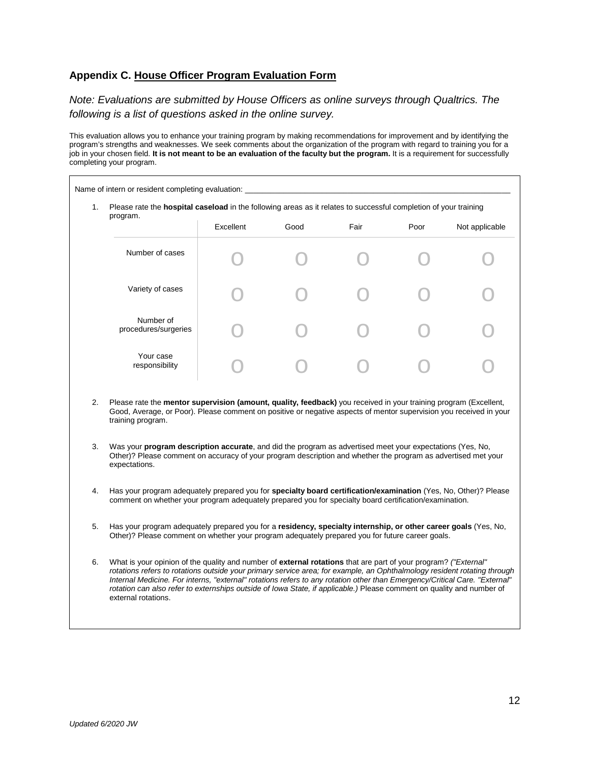# **Appendix C. House Officer Program Evaluation Form**

*Note: Evaluations are submitted by House Officers as online surveys through Qualtrics. The following is a list of questions asked in the online survey.*

This evaluation allows you to enhance your training program by making recommendations for improvement and by identifying the program's strengths and weaknesses. We seek comments about the organization of the program with regard to training you for a job in your chosen field. **It is not meant to be an evaluation of the faculty but the program.** It is a requirement for successfully completing your program.

| Please rate the <b>hospital caseload</b> in the following areas as it relates to successful completion of your training<br>program.                                                                                                                 |           |                                                                                                                  |      |      |                |  |  |
|-----------------------------------------------------------------------------------------------------------------------------------------------------------------------------------------------------------------------------------------------------|-----------|------------------------------------------------------------------------------------------------------------------|------|------|----------------|--|--|
|                                                                                                                                                                                                                                                     | Excellent | Good                                                                                                             | Fair | Poor | Not applicable |  |  |
| Number of cases                                                                                                                                                                                                                                     |           |                                                                                                                  |      |      |                |  |  |
| Variety of cases                                                                                                                                                                                                                                    |           |                                                                                                                  |      |      |                |  |  |
| Number of<br>procedures/surgeries                                                                                                                                                                                                                   |           |                                                                                                                  |      |      |                |  |  |
| Your case<br>responsibility                                                                                                                                                                                                                         |           |                                                                                                                  |      |      |                |  |  |
| Good, Average, or Poor). Please comment on positive or negative aspects of mentor supervision you received in your<br>training program.                                                                                                             |           | Please rate the mentor supervision (amount, quality, feedback) you received in your training program (Excellent, |      |      |                |  |  |
| Was your <b>program description accurate</b> , and did the program as advertised meet your expectations (Yes, No,<br>Other)? Please comment on accuracy of your program description and whether the program as advertised met your<br>expectations. |           |                                                                                                                  |      |      |                |  |  |
| Has your program adequately prepared you for specialty board certification/examination (Yes, No, Other)? Please<br>comment on whether your program adequately prepared you for specialty board certification/examination.                           |           |                                                                                                                  |      |      |                |  |  |
| Has your program adequately prepared you for a residency, specialty internship, or other career goals (Yes, No,<br>Other)? Please comment on whether your program adequately prepared you for future career goals.                                  |           |                                                                                                                  |      |      |                |  |  |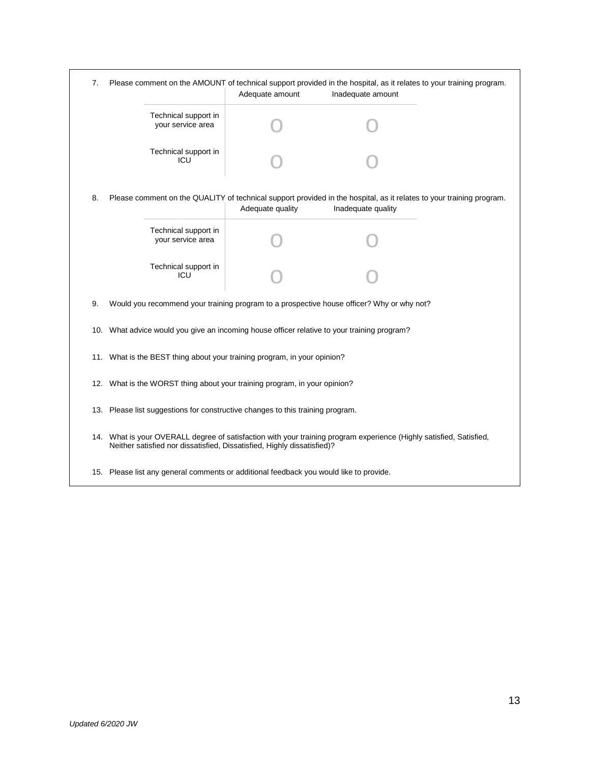| 7.  | Please comment on the AMOUNT of technical support provided in the hospital, as it relates to your training program.<br>Adequate amount<br>Inadequate amount                                    |                                                                                           |                                                                                                                                            |  |  |  |  |
|-----|------------------------------------------------------------------------------------------------------------------------------------------------------------------------------------------------|-------------------------------------------------------------------------------------------|--------------------------------------------------------------------------------------------------------------------------------------------|--|--|--|--|
|     | Technical support in<br>your service area                                                                                                                                                      |                                                                                           |                                                                                                                                            |  |  |  |  |
|     | Technical support in<br>ICU                                                                                                                                                                    |                                                                                           |                                                                                                                                            |  |  |  |  |
| 8.  |                                                                                                                                                                                                | Adequate quality                                                                          | Please comment on the QUALITY of technical support provided in the hospital, as it relates to your training program.<br>Inadequate quality |  |  |  |  |
|     | Technical support in<br>your service area                                                                                                                                                      |                                                                                           |                                                                                                                                            |  |  |  |  |
|     | Technical support in<br>ICU                                                                                                                                                                    |                                                                                           |                                                                                                                                            |  |  |  |  |
| 9.  |                                                                                                                                                                                                | Would you recommend your training program to a prospective house officer? Why or why not? |                                                                                                                                            |  |  |  |  |
|     | 10. What advice would you give an incoming house officer relative to your training program?                                                                                                    |                                                                                           |                                                                                                                                            |  |  |  |  |
|     | 11. What is the BEST thing about your training program, in your opinion?                                                                                                                       |                                                                                           |                                                                                                                                            |  |  |  |  |
|     | 12. What is the WORST thing about your training program, in your opinion?                                                                                                                      |                                                                                           |                                                                                                                                            |  |  |  |  |
|     | 13. Please list suggestions for constructive changes to this training program.                                                                                                                 |                                                                                           |                                                                                                                                            |  |  |  |  |
|     | 14. What is your OVERALL degree of satisfaction with your training program experience (Highly satisfied, Satisfied,<br>Neither satisfied nor dissatisfied, Dissatisfied, Highly dissatisfied)? |                                                                                           |                                                                                                                                            |  |  |  |  |
| 15. | Please list any general comments or additional feedback you would like to provide.                                                                                                             |                                                                                           |                                                                                                                                            |  |  |  |  |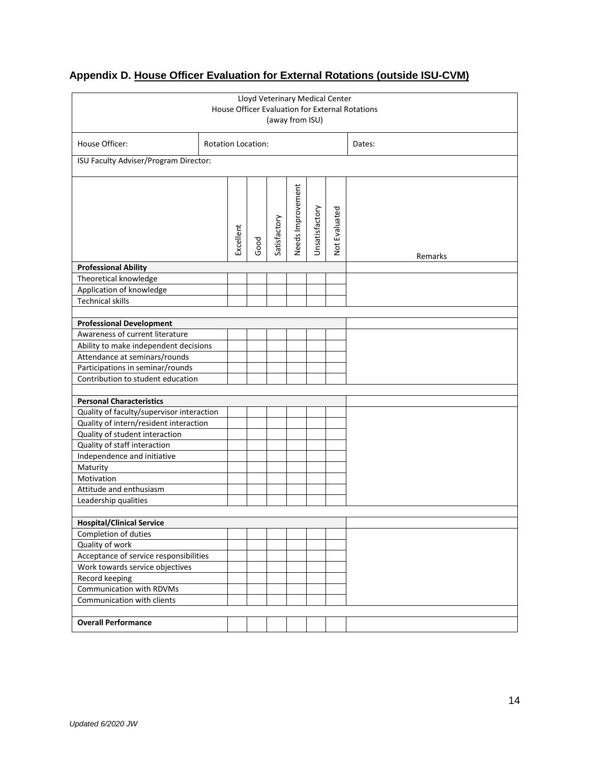| Lloyd Veterinary Medical Center<br>House Officer Evaluation for External Rotations<br>(away from ISU) |                           |           |      |              |                   |                |               |         |
|-------------------------------------------------------------------------------------------------------|---------------------------|-----------|------|--------------|-------------------|----------------|---------------|---------|
| House Officer:                                                                                        | <b>Rotation Location:</b> |           |      |              |                   |                | Dates:        |         |
| ISU Faculty Adviser/Program Director:                                                                 |                           |           |      |              |                   |                |               |         |
|                                                                                                       |                           | Excellent | Good | Satisfactory | Needs Improvement | Unsatisfactory | Not Evaluated | Remarks |
| <b>Professional Ability</b>                                                                           |                           |           |      |              |                   |                |               |         |
| Theoretical knowledge                                                                                 |                           |           |      |              |                   |                |               |         |
| Application of knowledge                                                                              |                           |           |      |              |                   |                |               |         |
| <b>Technical skills</b>                                                                               |                           |           |      |              |                   |                |               |         |
| <b>Professional Development</b>                                                                       |                           |           |      |              |                   |                |               |         |
| Awareness of current literature                                                                       |                           |           |      |              |                   |                |               |         |
| Ability to make independent decisions                                                                 |                           |           |      |              |                   |                |               |         |
| Attendance at seminars/rounds                                                                         |                           |           |      |              |                   |                |               |         |
| Participations in seminar/rounds                                                                      |                           |           |      |              |                   |                |               |         |
| Contribution to student education                                                                     |                           |           |      |              |                   |                |               |         |
|                                                                                                       |                           |           |      |              |                   |                |               |         |
| <b>Personal Characteristics</b>                                                                       |                           |           |      |              |                   |                |               |         |
| Quality of faculty/supervisor interaction                                                             |                           |           |      |              |                   |                |               |         |
| Quality of intern/resident interaction                                                                |                           |           |      |              |                   |                |               |         |
| Quality of student interaction                                                                        |                           |           |      |              |                   |                |               |         |
| Quality of staff interaction                                                                          |                           |           |      |              |                   |                |               |         |
| Independence and initiative                                                                           |                           |           |      |              |                   |                |               |         |
| Motivation                                                                                            | Maturity                  |           |      |              |                   |                |               |         |
| Attitude and enthusiasm                                                                               |                           |           |      |              |                   |                |               |         |
| Leadership qualities                                                                                  |                           |           |      |              |                   |                |               |         |
|                                                                                                       |                           |           |      |              |                   |                |               |         |
| <b>Hospital/Clinical Service</b>                                                                      |                           |           |      |              |                   |                |               |         |
| Completion of duties                                                                                  |                           |           |      |              |                   |                |               |         |
| Quality of work                                                                                       |                           |           |      |              |                   |                |               |         |
| Acceptance of service responsibilities                                                                |                           |           |      |              |                   |                |               |         |
| Work towards service objectives                                                                       |                           |           |      |              |                   |                |               |         |
| Record keeping                                                                                        |                           |           |      |              |                   |                |               |         |
| Communication with RDVMs<br>Communication with clients                                                |                           |           |      |              |                   |                |               |         |
|                                                                                                       |                           |           |      |              |                   |                |               |         |
| <b>Overall Performance</b>                                                                            |                           |           |      |              |                   |                |               |         |

# **Appendix D. House Officer Evaluation for External Rotations (outside ISU-CVM)**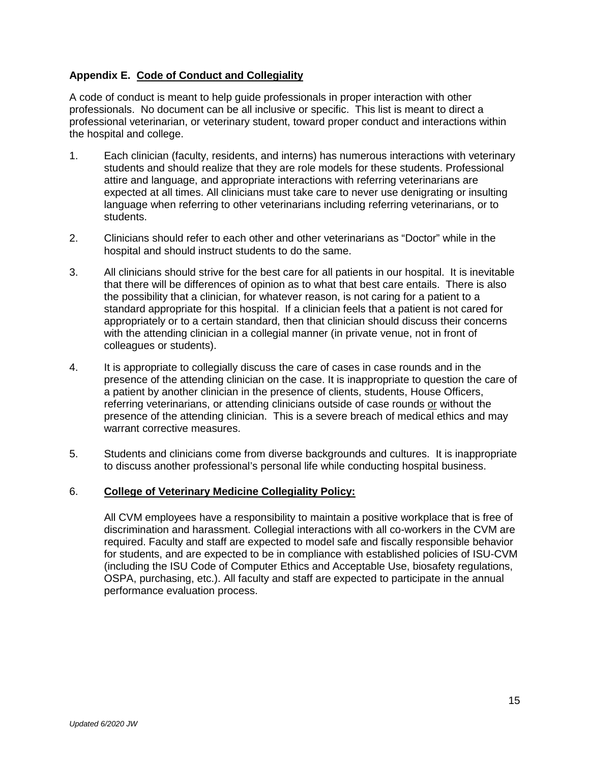# **Appendix E. Code of Conduct and Collegiality**

A code of conduct is meant to help guide professionals in proper interaction with other professionals. No document can be all inclusive or specific. This list is meant to direct a professional veterinarian, or veterinary student, toward proper conduct and interactions within the hospital and college.

- 1. Each clinician (faculty, residents, and interns) has numerous interactions with veterinary students and should realize that they are role models for these students. Professional attire and language, and appropriate interactions with referring veterinarians are expected at all times. All clinicians must take care to never use denigrating or insulting language when referring to other veterinarians including referring veterinarians, or to students.
- 2. Clinicians should refer to each other and other veterinarians as "Doctor" while in the hospital and should instruct students to do the same.
- 3. All clinicians should strive for the best care for all patients in our hospital. It is inevitable that there will be differences of opinion as to what that best care entails. There is also the possibility that a clinician, for whatever reason, is not caring for a patient to a standard appropriate for this hospital. If a clinician feels that a patient is not cared for appropriately or to a certain standard, then that clinician should discuss their concerns with the attending clinician in a collegial manner (in private venue, not in front of colleagues or students).
- 4. It is appropriate to collegially discuss the care of cases in case rounds and in the presence of the attending clinician on the case. It is inappropriate to question the care of a patient by another clinician in the presence of clients, students, House Officers, referring veterinarians, or attending clinicians outside of case rounds or without the presence of the attending clinician. This is a severe breach of medical ethics and may warrant corrective measures.
- 5. Students and clinicians come from diverse backgrounds and cultures. It is inappropriate to discuss another professional's personal life while conducting hospital business.

# 6. **College of Veterinary Medicine Collegiality Policy:**

All CVM employees have a responsibility to maintain a positive workplace that is free of discrimination and harassment. Collegial interactions with all co-workers in the CVM are required. Faculty and staff are expected to model safe and fiscally responsible behavior for students, and are expected to be in compliance with established policies of ISU-CVM (including the ISU Code of Computer Ethics and Acceptable Use, biosafety regulations, OSPA, purchasing, etc.). All faculty and staff are expected to participate in the annual performance evaluation process.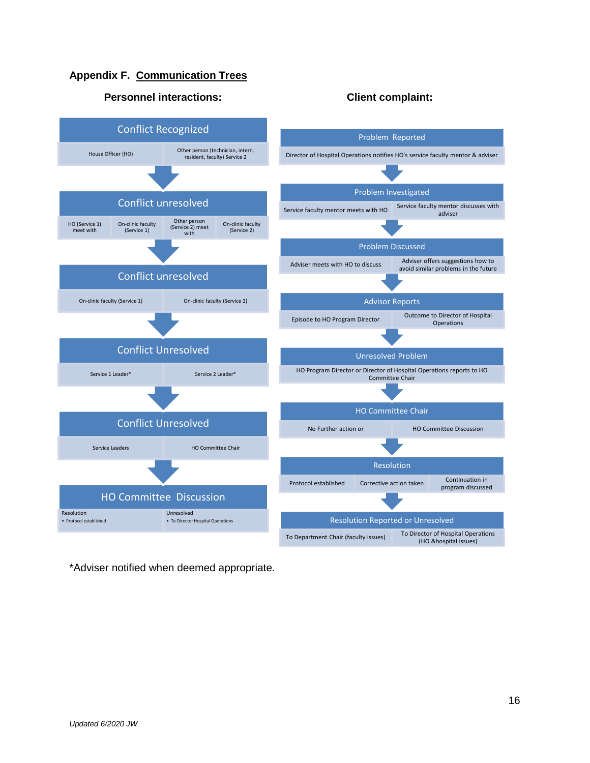# **Appendix F. Communication Trees**



#### **Personnel interactions: Client complaint:**

\*Adviser notified when deemed appropriate.